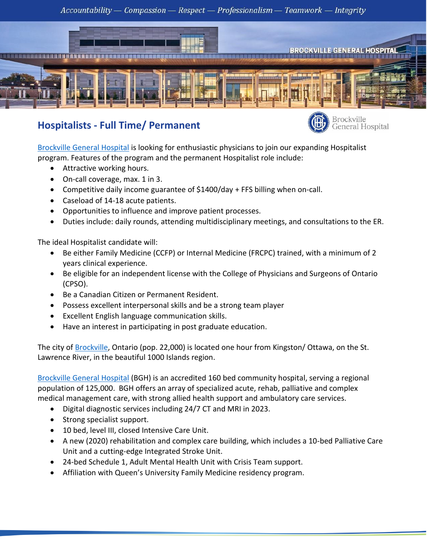$Accountability - Comparison - Respect - Professionalism - Teamwork - Integrity$ 



## **Hospitalists - Full Time/ Permanent**



[Brockville General Hospital](https://www.brockvillegeneralhospital.ca/en/index.aspx) is looking for enthusiastic physicians to join our expanding Hospitalist program. Features of the program and the permanent Hospitalist role include:

- Attractive working hours.
- On-call coverage, max. 1 in 3.
- Competitive daily income guarantee of \$1400/day + FFS billing when on-call.
- Caseload of 14-18 acute patients.
- Opportunities to influence and improve patient processes.
- Duties include: daily rounds, attending multidisciplinary meetings, and consultations to the ER.

The ideal Hospitalist candidate will:

- Be either Family Medicine (CCFP) or Internal Medicine (FRCPC) trained, with a minimum of 2 years clinical experience.
- Be eligible for an independent license with the College of Physicians and Surgeons of Ontario (CPSO).
- Be a Canadian Citizen or Permanent Resident.
- Possess excellent interpersonal skills and be a strong team player
- Excellent English language communication skills.
- Have an interest in participating in post graduate education.

The city of [Brockville,](https://brockville.com/) Ontario (pop. 22,000) is located one hour from Kingston/ Ottawa, on the St. Lawrence River, in the beautiful 1000 Islands region.

[Brockville General Hospital](https://www.brockvillegeneralhospital.ca/) (BGH) is an accredited 160 bed community hospital, serving a regional population of 125,000. BGH offers an array of specialized acute, rehab, palliative and complex medical management care, with strong allied health support and ambulatory care services.

- Digital diagnostic services including 24/7 CT and MRI in 2023.
- Strong specialist support.
- 10 bed, level III, closed Intensive Care Unit.
- A new (2020) rehabilitation and complex care building, which includes a 10-bed Palliative Care Unit and a cutting-edge Integrated Stroke Unit.
- 24-bed Schedule 1, Adult Mental Health Unit with Crisis Team support.
- Affiliation with Queen's University Family Medicine residency program.